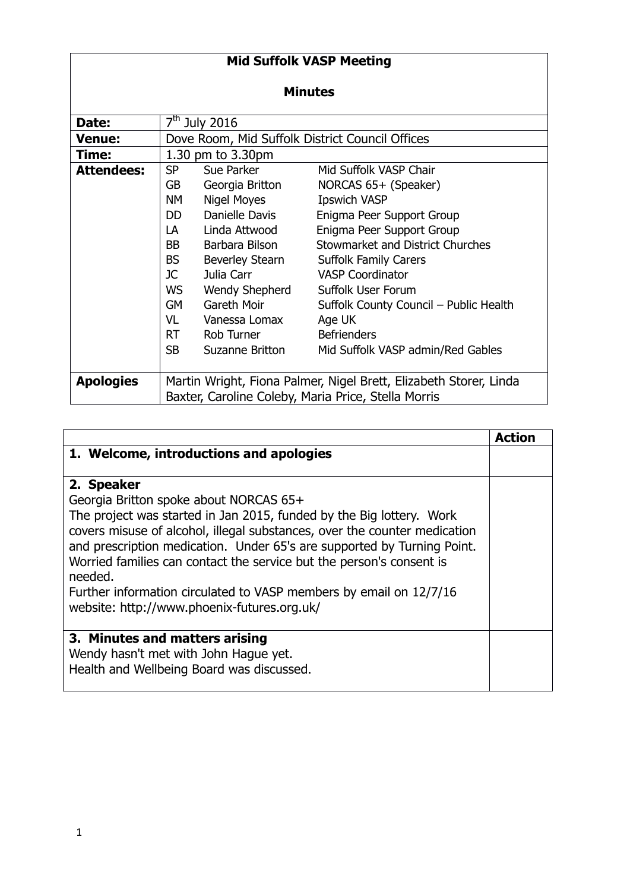| <b>Mid Suffolk VASP Meeting</b> |                                                                                                                                                                                                                                |                    |                                        |  |  |
|---------------------------------|--------------------------------------------------------------------------------------------------------------------------------------------------------------------------------------------------------------------------------|--------------------|----------------------------------------|--|--|
| <b>Minutes</b>                  |                                                                                                                                                                                                                                |                    |                                        |  |  |
| Date:                           |                                                                                                                                                                                                                                | $7th$ July 2016    |                                        |  |  |
| Venue:                          | Dove Room, Mid Suffolk District Council Offices                                                                                                                                                                                |                    |                                        |  |  |
| Time:                           |                                                                                                                                                                                                                                | 1.30 pm to 3.30pm  |                                        |  |  |
| <b>Attendees:</b>               | <b>SP</b>                                                                                                                                                                                                                      | Sue Parker         | Mid Suffolk VASP Chair                 |  |  |
|                                 | GB                                                                                                                                                                                                                             | Georgia Britton    | NORCAS 65+ (Speaker)                   |  |  |
|                                 | NΜ                                                                                                                                                                                                                             | <b>Nigel Moyes</b> | <b>Ipswich VASP</b>                    |  |  |
|                                 | DD.                                                                                                                                                                                                                            | Danielle Davis     | Enigma Peer Support Group              |  |  |
|                                 | LA                                                                                                                                                                                                                             | Linda Attwood      | Enigma Peer Support Group              |  |  |
|                                 | BB a                                                                                                                                                                                                                           | Barbara Bilson     | Stowmarket and District Churches       |  |  |
|                                 | <b>BS</b>                                                                                                                                                                                                                      | Beverley Stearn    | <b>Suffolk Family Carers</b>           |  |  |
|                                 | JC 1                                                                                                                                                                                                                           | Julia Carr         | <b>VASP Coordinator</b>                |  |  |
|                                 | WS                                                                                                                                                                                                                             | Wendy Shepherd     | <b>Suffolk User Forum</b>              |  |  |
|                                 | <b>GM</b>                                                                                                                                                                                                                      | Gareth Moir        | Suffolk County Council - Public Health |  |  |
|                                 | VL to the vertices of the vertices of the vertices of the vertices of the vertices of the vertices of the vertices of the vertices of the vertices of the vertices of the vertices of the vertices of the vertices of the vert | Vanessa Lomax      | Age UK                                 |  |  |
|                                 | <b>RT</b>                                                                                                                                                                                                                      | Rob Turner         | <b>Befrienders</b>                     |  |  |
|                                 | <b>SB</b>                                                                                                                                                                                                                      | Suzanne Britton    | Mid Suffolk VASP admin/Red Gables      |  |  |
| <b>Apologies</b>                | Martin Wright, Fiona Palmer, Nigel Brett, Elizabeth Storer, Linda<br>Baxter, Caroline Coleby, Maria Price, Stella Morris                                                                                                       |                    |                                        |  |  |

|                                                                                                                                                                                                                              | Action |
|------------------------------------------------------------------------------------------------------------------------------------------------------------------------------------------------------------------------------|--------|
| 1. Welcome, introductions and apologies                                                                                                                                                                                      |        |
| 2. Speaker                                                                                                                                                                                                                   |        |
| Georgia Britton spoke about NORCAS 65+                                                                                                                                                                                       |        |
| The project was started in Jan 2015, funded by the Big lottery. Work<br>covers misuse of alcohol, illegal substances, over the counter medication<br>and prescription medication. Under 65's are supported by Turning Point. |        |
| Worried families can contact the service but the person's consent is<br>needed.                                                                                                                                              |        |
| Further information circulated to VASP members by email on 12/7/16<br>website: http://www.phoenix-futures.org.uk/                                                                                                            |        |
| 3. Minutes and matters arising                                                                                                                                                                                               |        |
| Wendy hasn't met with John Haque yet.                                                                                                                                                                                        |        |
| Health and Wellbeing Board was discussed.                                                                                                                                                                                    |        |